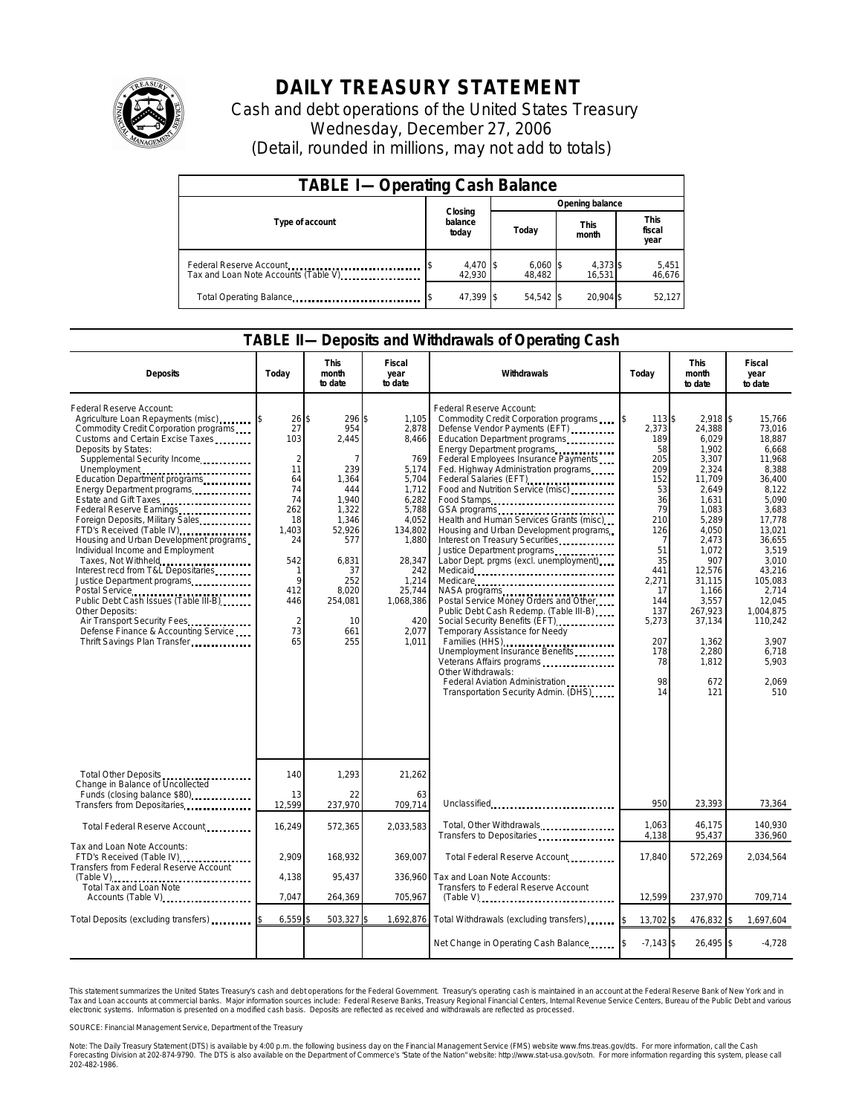

## **DAILY TREASURY STATEMENT**

Cash and debt operations of the United States Treasury Wednesday, December 27, 2006 (Detail, rounded in millions, may not add to totals)

| <b>TABLE I-Operating Cash Balance</b>                           |                             |                      |                      |                               |  |  |  |
|-----------------------------------------------------------------|-----------------------------|----------------------|----------------------|-------------------------------|--|--|--|
|                                                                 |                             | Opening balance      |                      |                               |  |  |  |
| Type of account                                                 | Closing<br>balance<br>today | Today                | <b>This</b><br>month | <b>This</b><br>fiscal<br>year |  |  |  |
| Federal Reserve Account<br>Tax and Loan Note Accounts (Table V) | 4,470 \$<br>42.930          | $6,060$ \$<br>48.482 | 4,373 \$<br>16.531   | 5,451<br>46,676               |  |  |  |
| Total Operating Balance                                         | 47.399 \$                   | 54.542 \$            | 20.904 \$            | 52.127                        |  |  |  |

## **TABLE II—Deposits and Withdrawals of Operating Cash**

| <b>Deposits</b>                                                                                                                                                                                                                                                                                                                                                                                                                                                                                                                                                                                                                                                                                                            | Todav                                                                                                                                              | This<br>month<br>to date                                                                                                                                | Fiscal<br>year<br>to date                                                                                                                                                          | Withdrawals                                                                                                                                                                                                                                                                                                                                                                                                                                                                                                                                                                                                                                                                                                                                                                                                                                                                                                             | Today                                                                                                                                                                      | <b>This</b><br>month<br>to date                                                                                                                                                                                                              | Fiscal<br>year<br>to date                                                                                                                                                                                                                              |
|----------------------------------------------------------------------------------------------------------------------------------------------------------------------------------------------------------------------------------------------------------------------------------------------------------------------------------------------------------------------------------------------------------------------------------------------------------------------------------------------------------------------------------------------------------------------------------------------------------------------------------------------------------------------------------------------------------------------------|----------------------------------------------------------------------------------------------------------------------------------------------------|---------------------------------------------------------------------------------------------------------------------------------------------------------|------------------------------------------------------------------------------------------------------------------------------------------------------------------------------------|-------------------------------------------------------------------------------------------------------------------------------------------------------------------------------------------------------------------------------------------------------------------------------------------------------------------------------------------------------------------------------------------------------------------------------------------------------------------------------------------------------------------------------------------------------------------------------------------------------------------------------------------------------------------------------------------------------------------------------------------------------------------------------------------------------------------------------------------------------------------------------------------------------------------------|----------------------------------------------------------------------------------------------------------------------------------------------------------------------------|----------------------------------------------------------------------------------------------------------------------------------------------------------------------------------------------------------------------------------------------|--------------------------------------------------------------------------------------------------------------------------------------------------------------------------------------------------------------------------------------------------------|
| Federal Reserve Account:<br>Agriculture Loan Repayments (misc)<br>Commodity Credit Corporation programs<br>Customs and Certain Excise Taxes<br>Deposits by States:<br>Supplemental Security Income<br>Unemployment<br>Education Department programs<br>Energy Department programs<br>Estate and Gift Taxes<br>Foreign Deposits, Military Sales<br>FTD's Received (Table IV)<br>Housing and Urban Development programs<br>Individual Income and Employment<br>Taxes, Not Withheld<br>Interest recd from T&L Depositaries<br>Justice Department programs<br>Public Debt Cash Issues (Table III-B)<br>Other Deposits:<br>Air Transport Security Fees<br>Defense Finance & Accounting Service<br>Thrift Savings Plan Transfer. | $26$ \$<br>27<br>103<br>$\overline{2}$<br>11<br>64<br>74<br>74<br>262<br>18<br>1,403<br>24<br>542<br>9<br>412<br>446<br>$\overline{2}$<br>73<br>65 | 296 \$<br>954<br>2.445<br>239<br>1,364<br>444<br>1,940<br>1,322<br>1,346<br>52,926<br>577<br>6.831<br>37<br>252<br>8.020<br>254,081<br>10<br>661<br>255 | 1,105<br>2,878<br>8.466<br>769<br>5.174<br>5.704<br>1,712<br>6,282<br>5,788<br>4.052<br>134,802<br>1,880<br>28,347<br>242<br>1,214<br>25,744<br>1,068,386<br>420<br>2.077<br>1,011 | Federal Reserve Account:<br>Commodity Credit Corporation programs<br>Defense Vendor Payments (EFT)<br>Education Department programs<br>Energy Department programs<br>Federal Employees Insurance Payments<br>Fed. Highway Administration programs<br>Federal Salaries (EFT)<br>Food and Nutrition Service (misc)<br>Food Stamps<br>GSA programs<br>Health and Human Services Grants (misc)<br>Housing and Urban Development programs<br>Interest on Treasury Securities<br>Justice Department programs<br>Labor Dept. prgms (excl. unemployment)<br>Medicare<br>NASA programs<br>Postal Service Money Orders and Other<br>Public Debt Cash Redemp. (Table III-B)<br>Social Security Benefits (EFT)<br>Temporary Assistance for Needy<br>Families (HHS)<br>Unemployment Insurance Benefits<br>Veterans Affairs programs<br>Other Withdrawals:<br>Federal Aviation Administration<br>Transportation Security Admin. (DHS) | 113 \$<br>2.373<br>189<br>58<br>205<br>209<br>152<br>53<br>36<br>79<br>210<br>126<br>51<br>35<br>441<br>2,271<br>17<br>144<br>137<br>5,273<br>207<br>178<br>78<br>98<br>14 | $2,918$ \$<br>24,388<br>6,029<br>1,902<br>3,307<br>2,324<br>11,709<br>2,649<br>1,631<br>1,083<br>5.289<br>4,050<br>2,473<br>1,072<br>907<br>12,576<br>31.115<br>1,166<br>3.557<br>267,923<br>37,134<br>1,362<br>2,280<br>1,812<br>672<br>121 | 15.766<br>73.016<br>18.887<br>6,668<br>11.968<br>8.388<br>36.400<br>8,122<br>5.090<br>3.683<br>17.778<br>13,021<br>36.655<br>3.519<br>3.010<br>43,216<br>105.083<br>2.714<br>12.045<br>1.004.875<br>110,242<br>3,907<br>6.718<br>5.903<br>2,069<br>510 |
| Total Other Deposits                                                                                                                                                                                                                                                                                                                                                                                                                                                                                                                                                                                                                                                                                                       | 140                                                                                                                                                | 1,293                                                                                                                                                   | 21,262                                                                                                                                                                             |                                                                                                                                                                                                                                                                                                                                                                                                                                                                                                                                                                                                                                                                                                                                                                                                                                                                                                                         |                                                                                                                                                                            |                                                                                                                                                                                                                                              |                                                                                                                                                                                                                                                        |
| Change in Balance of Uncollected<br>Funds (closing balance \$80)<br>Transfers from Depositaries                                                                                                                                                                                                                                                                                                                                                                                                                                                                                                                                                                                                                            | 13<br>12,599                                                                                                                                       | 22<br>237,970                                                                                                                                           | 63<br>709,714                                                                                                                                                                      | Unclassified                                                                                                                                                                                                                                                                                                                                                                                                                                                                                                                                                                                                                                                                                                                                                                                                                                                                                                            | 950                                                                                                                                                                        | 23,393                                                                                                                                                                                                                                       | 73,364                                                                                                                                                                                                                                                 |
| Total Federal Reserve Account                                                                                                                                                                                                                                                                                                                                                                                                                                                                                                                                                                                                                                                                                              | 16,249                                                                                                                                             | 572,365                                                                                                                                                 | 2,033,583                                                                                                                                                                          | Total, Other Withdrawals<br>Transfers to Depositaries                                                                                                                                                                                                                                                                                                                                                                                                                                                                                                                                                                                                                                                                                                                                                                                                                                                                   | 1,063<br>4,138                                                                                                                                                             | 46,175<br>95,437                                                                                                                                                                                                                             | 140,930<br>336,960                                                                                                                                                                                                                                     |
| Tax and Loan Note Accounts:<br>FTD's Received (Table IV)<br>Transfers from Federal Reserve Account                                                                                                                                                                                                                                                                                                                                                                                                                                                                                                                                                                                                                         | 2,909<br>4,138                                                                                                                                     | 168,932<br>95.437                                                                                                                                       | 369,007<br>336,960                                                                                                                                                                 | Total Federal Reserve Account<br>Tax and Loan Note Accounts:                                                                                                                                                                                                                                                                                                                                                                                                                                                                                                                                                                                                                                                                                                                                                                                                                                                            | 17,840                                                                                                                                                                     | 572,269                                                                                                                                                                                                                                      | 2,034,564                                                                                                                                                                                                                                              |
| Total Tax and Loan Note<br>Accounts (Table V)                                                                                                                                                                                                                                                                                                                                                                                                                                                                                                                                                                                                                                                                              | 7,047                                                                                                                                              | 264,369                                                                                                                                                 | 705,967                                                                                                                                                                            | <b>Transfers to Federal Reserve Account</b><br>$(Table V)$                                                                                                                                                                                                                                                                                                                                                                                                                                                                                                                                                                                                                                                                                                                                                                                                                                                              | 12,599                                                                                                                                                                     | 237,970                                                                                                                                                                                                                                      | 709,714                                                                                                                                                                                                                                                |
| Total Deposits (excluding transfers)                                                                                                                                                                                                                                                                                                                                                                                                                                                                                                                                                                                                                                                                                       | 6,559                                                                                                                                              | 503,327                                                                                                                                                 |                                                                                                                                                                                    | 1,692,876 Total Withdrawals (excluding transfers)                                                                                                                                                                                                                                                                                                                                                                                                                                                                                                                                                                                                                                                                                                                                                                                                                                                                       | 13,702 \$                                                                                                                                                                  | 476,832 \$                                                                                                                                                                                                                                   | 1,697,604                                                                                                                                                                                                                                              |
|                                                                                                                                                                                                                                                                                                                                                                                                                                                                                                                                                                                                                                                                                                                            |                                                                                                                                                    |                                                                                                                                                         |                                                                                                                                                                                    | Net Change in Operating Cash Balance                                                                                                                                                                                                                                                                                                                                                                                                                                                                                                                                                                                                                                                                                                                                                                                                                                                                                    | $-7,143$ \$                                                                                                                                                                | 26,495 \$                                                                                                                                                                                                                                    | $-4,728$                                                                                                                                                                                                                                               |

This statement summarizes the United States Treasury's cash and debt operations for the Federal Government.<br>Tax and Loan accounts at commercial banks. Major information sources include: Federal Reserve Banks, Trea<br>electr narizes the United States Treasury's cash and debt operations for the Federal Government. Treasury's operating cash is maintained in an account at the Federal Reserve Bank of New York and in<br>ints at commercial banks. Major

SOURCE: Financial Management Service, Department of the Treasury

Note: The Daily Treasury Statement (DTS) is available by 4:00 p.m. the following business day on the Financial Management Service (FMS) website www.fms.treas.gov/dts. For more information, call the Cash<br>Forecasting Divisio 202-482-1986.